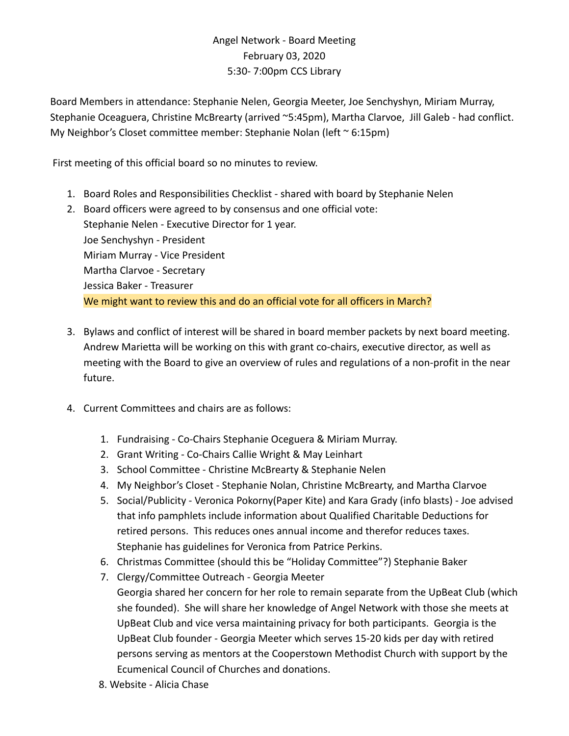## Angel Network - Board Meeting February 03, 2020 5:30- 7:00pm CCS Library

Board Members in attendance: Stephanie Nelen, Georgia Meeter, Joe Senchyshyn, Miriam Murray, Stephanie Oceaguera, Christine McBrearty (arrived ~5:45pm), Martha Clarvoe, Jill Galeb - had conflict. My Neighbor's Closet committee member: Stephanie Nolan (left ~ 6:15pm)

First meeting of this official board so no minutes to review.

- 1. Board Roles and Responsibilities Checklist shared with board by Stephanie Nelen
- 2. Board officers were agreed to by consensus and one official vote: Stephanie Nelen - Executive Director for 1 year. Joe Senchyshyn - President Miriam Murray - Vice President Martha Clarvoe - Secretary Jessica Baker - Treasurer We might want to review this and do an official vote for all officers in March?
- 3. Bylaws and conflict of interest will be shared in board member packets by next board meeting. Andrew Marietta will be working on this with grant co-chairs, executive director, as well as meeting with the Board to give an overview of rules and regulations of a non-profit in the near future.
- 4. Current Committees and chairs are as follows:
	- 1. Fundraising Co-Chairs Stephanie Oceguera & Miriam Murray.
	- 2. Grant Writing Co-Chairs Callie Wright & May Leinhart
	- 3. School Committee Christine McBrearty & Stephanie Nelen
	- 4. My Neighbor's Closet Stephanie Nolan, Christine McBrearty, and Martha Clarvoe
	- 5. Social/Publicity Veronica Pokorny(Paper Kite) and Kara Grady (info blasts) Joe advised that info pamphlets include information about Qualified Charitable Deductions for retired persons. This reduces ones annual income and therefor reduces taxes. Stephanie has guidelines for Veronica from Patrice Perkins.
	- 6. Christmas Committee (should this be "Holiday Committee"?) Stephanie Baker
	- 7. Clergy/Committee Outreach Georgia Meeter Georgia shared her concern for her role to remain separate from the UpBeat Club (which she founded). She will share her knowledge of Angel Network with those she meets at UpBeat Club and vice versa maintaining privacy for both participants. Georgia is the UpBeat Club founder - Georgia Meeter which serves 15-20 kids per day with retired persons serving as mentors at the Cooperstown Methodist Church with support by the Ecumenical Council of Churches and donations.
	- 8. Website Alicia Chase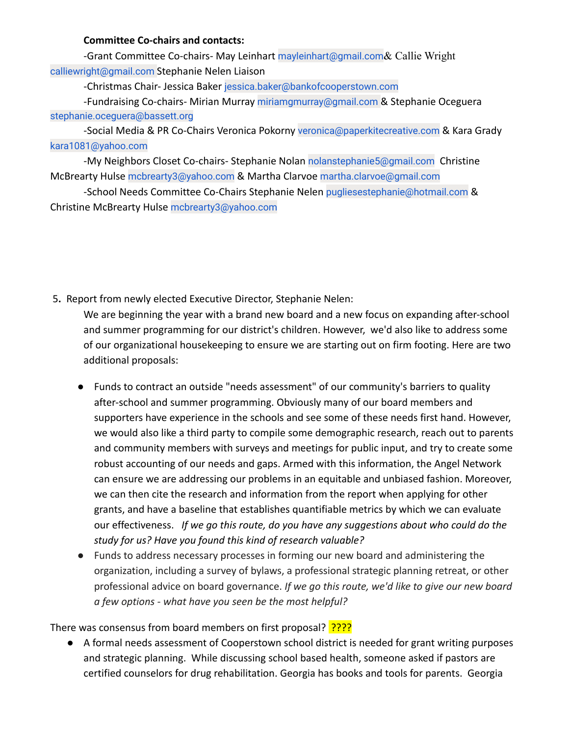## **Committee Co-chairs and contacts:**

-Grant Committee Co-chairs- May Leinhart mayleinhart@gmail.com & Callie Wright calliewright@gmail.com Stephanie Nelen Liaison

-Christmas Chair- Jessica Baker jessica.baker@bankofcooperstown.com

-Fundraising Co-chairs- Mirian Murray miriamgmurray@gmail.com & Stephanie Oceguera stephanie.oceguera@bassett.org

-Social Media & PR Co-Chairs Veronica Pokorny veronica@paperkitecreative.com & Kara Grady kara1081@yahoo.com

-My Neighbors Closet Co-chairs- Stephanie Nolan nolanstephanie5@gmail.com Christine McBrearty Hulse mcbrearty3@yahoo.com & Martha Clarvoe martha.clarvoe@gmail.com

-School Needs Committee Co-Chairs Stephanie Nelen pugliesestephanie@hotmail.com & Christine McBrearty Hulse mcbrearty3@yahoo.com

5**.** Report from newly elected Executive Director, Stephanie Nelen:

We are beginning the year with a brand new board and a new focus on expanding after-school and summer programming for our district's children. However, we'd also like to address some of our organizational housekeeping to ensure we are starting out on firm footing. Here are two additional proposals:

- Funds to contract an outside "needs assessment" of our community's barriers to quality after-school and summer programming. Obviously many of our board members and supporters have experience in the schools and see some of these needs first hand. However, we would also like a third party to compile some demographic research, reach out to parents and community members with surveys and meetings for public input, and try to create some robust accounting of our needs and gaps. Armed with this information, the Angel Network can ensure we are addressing our problems in an equitable and unbiased fashion. Moreover, we can then cite the research and information from the report when applying for other grants, and have a baseline that establishes quantifiable metrics by which we can evaluate our effectiveness. *If we go this route, do you have any suggestions about who could do the study for us? Have you found this kind of research valuable?*
- Funds to address necessary processes in forming our new board and administering the organization, including a survey of bylaws, a professional strategic planning retreat, or other professional advice on board governance. *If we go this route, we'd like to give our new board a few options - what have you seen be the most helpful?*

There was consensus from board members on first proposal? ????

● A formal needs assessment of Cooperstown school district is needed for grant writing purposes and strategic planning. While discussing school based health, someone asked if pastors are certified counselors for drug rehabilitation. Georgia has books and tools for parents. Georgia